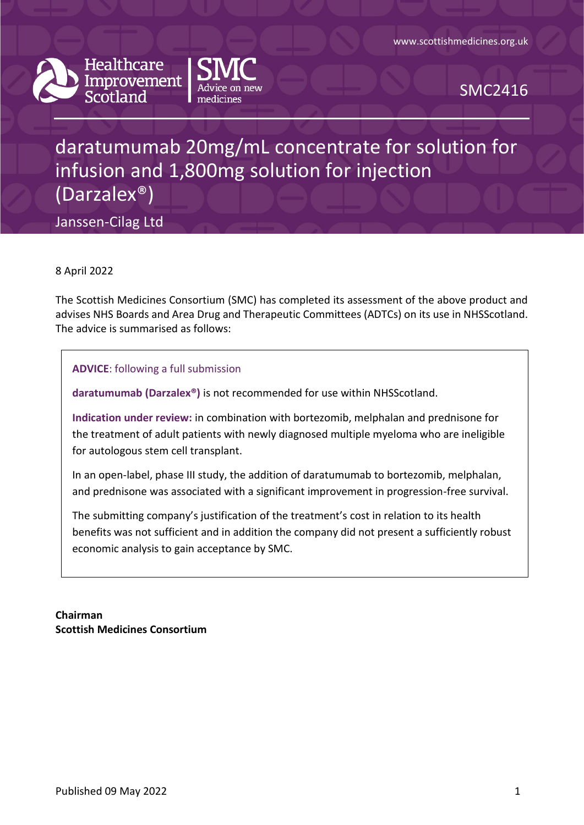



SMC2416

# daratumumab 20mg/mL concentrate for solution for infusion and 1,800mg solution for injection (Darzalex®)

Janssen-Cilag Ltd

8 April 2022

The Scottish Medicines Consortium (SMC) has completed its assessment of the above product and advises NHS Boards and Area Drug and Therapeutic Committees (ADTCs) on its use in NHSScotland. The advice is summarised as follows:

**ADVICE**: following a full submission

**daratumumab (Darzalex®)** is not recommended for use within NHSScotland.

**Indication under review:** in combination with bortezomib, melphalan and prednisone for the treatment of adult patients with newly diagnosed multiple myeloma who are ineligible for autologous stem cell transplant.

In an open-label, phase III study, the addition of daratumumab to bortezomib, melphalan, and prednisone was associated with a significant improvement in progression-free survival.

The submitting company's justification of the treatment's cost in relation to its health benefits was not sufficient and in addition the company did not present a sufficiently robust economic analysis to gain acceptance by SMC.

**Chairman Scottish Medicines Consortium**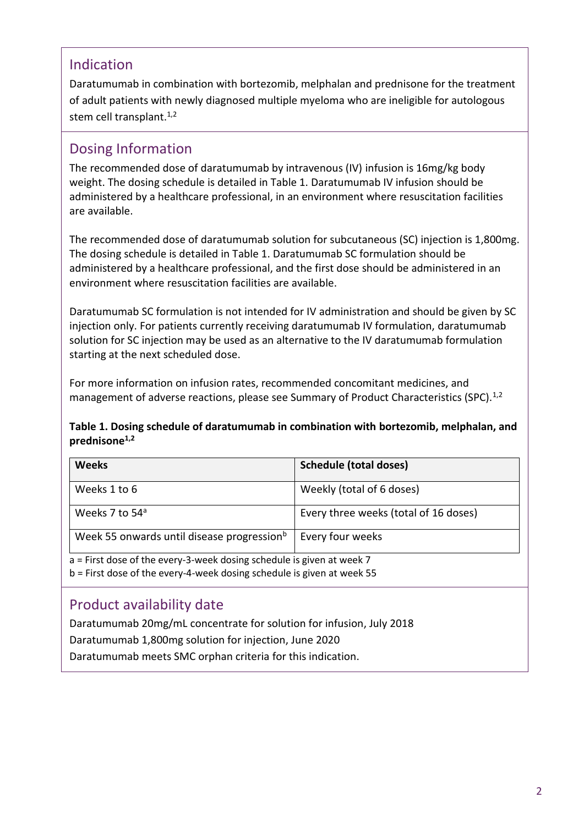### Indication

Daratumumab in combination with bortezomib, melphalan and prednisone for the treatment of adult patients with newly diagnosed multiple myeloma who are ineligible for autologous stem cell transplant.<sup>1,2</sup>

### Dosing Information

The recommended dose of daratumumab by intravenous (IV) infusion is 16mg/kg body weight. The dosing schedule is detailed in Table 1. Daratumumab IV infusion should be administered by a healthcare professional, in an environment where resuscitation facilities are available.

The recommended dose of daratumumab solution for subcutaneous (SC) injection is 1,800mg. The dosing schedule is detailed in Table 1. Daratumumab SC formulation should be administered by a healthcare professional, and the first dose should be administered in an environment where resuscitation facilities are available.

Daratumumab SC formulation is not intended for IV administration and should be given by SC injection only. For patients currently receiving daratumumab IV formulation, daratumumab solution for SC injection may be used as an alternative to the IV daratumumab formulation starting at the next scheduled dose.

For more information on infusion rates, recommended concomitant medicines, and management of adverse reactions, please see Summary of Product Characteristics (SPC).<sup>1,2</sup>

#### **Table 1. Dosing schedule of daratumumab in combination with bortezomib, melphalan, and prednisone1,2**

| <b>Weeks</b>                                                            | <b>Schedule (total doses)</b>         |  |
|-------------------------------------------------------------------------|---------------------------------------|--|
| Weeks 1 to 6                                                            | Weekly (total of 6 doses)             |  |
| Weeks 7 to 54 <sup>a</sup>                                              | Every three weeks (total of 16 doses) |  |
| Week 55 onwards until disease progression <sup>b</sup>                  | Every four weeks                      |  |
| $a$ = First dose of the every-3-week dosing schedule is given at week 7 |                                       |  |

b = First dose of the every-4-week dosing schedule is given at week 55

### Product availability date

Daratumumab 20mg/mL concentrate for solution for infusion, July 2018 Daratumumab 1,800mg solution for injection, June 2020 Daratumumab meets SMC orphan criteria for this indication.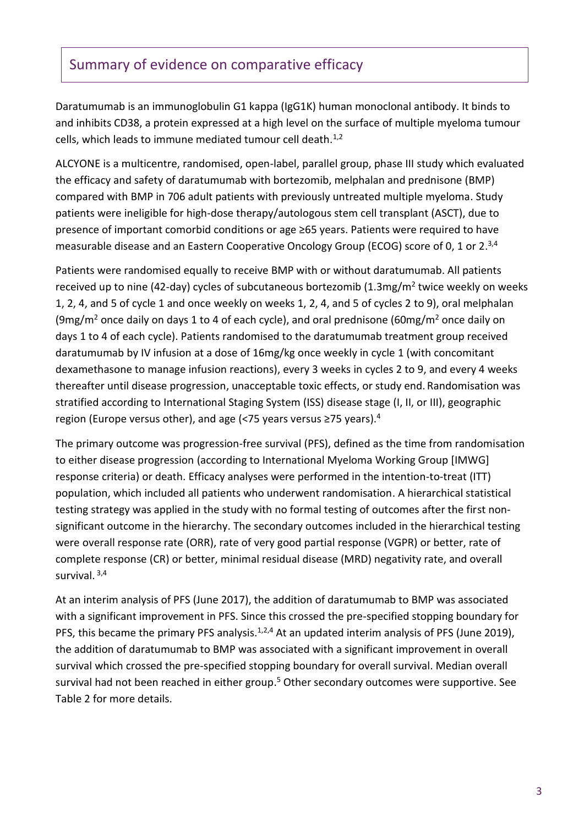### Summary of evidence on comparative efficacy

Daratumumab is an immunoglobulin G1 kappa (IgG1K) human monoclonal antibody. It binds to and inhibits CD38, a protein expressed at a high level on the surface of multiple myeloma tumour cells, which leads to immune mediated tumour cell death. $1,2$ 

ALCYONE is a multicentre, randomised, open-label, parallel group, phase III study which evaluated the efficacy and safety of daratumumab with bortezomib, melphalan and prednisone (BMP) compared with BMP in 706 adult patients with previously untreated multiple myeloma. Study patients were ineligible for high-dose therapy/autologous stem cell transplant (ASCT), due to presence of important comorbid conditions or age ≥65 years. Patients were required to have measurable disease and an Eastern Cooperative Oncology Group (ECOG) score of 0, 1 or 2.<sup>3,4</sup>

Patients were randomised equally to receive BMP with or without daratumumab. All patients received up to nine (42-day) cycles of subcutaneous bortezomib (1.3mg/m<sup>2</sup> twice weekly on weeks 1, 2, 4, and 5 of cycle 1 and once weekly on weeks 1, 2, 4, and 5 of cycles 2 to 9), oral melphalan (9mg/m<sup>2</sup> once daily on days 1 to 4 of each cycle), and oral prednisone (60mg/m<sup>2</sup> once daily on days 1 to 4 of each cycle). Patients randomised to the daratumumab treatment group received daratumumab by IV infusion at a dose of 16mg/kg once weekly in cycle 1 (with concomitant dexamethasone to manage infusion reactions), every 3 weeks in cycles 2 to 9, and every 4 weeks thereafter until disease progression, unacceptable toxic effects, or study end. Randomisation was stratified according to International Staging System (ISS) disease stage (I, II, or III), geographic region (Europe versus other), and age (<75 years versus ≥75 years).<sup>4</sup>

The primary outcome was progression-free survival (PFS), defined as the time from randomisation to either disease progression (according to International Myeloma Working Group [IMWG] response criteria) or death. Efficacy analyses were performed in the intention-to-treat (ITT) population, which included all patients who underwent randomisation. A hierarchical statistical testing strategy was applied in the study with no formal testing of outcomes after the first nonsignificant outcome in the hierarchy. The secondary outcomes included in the hierarchical testing were overall response rate (ORR), rate of very good partial response (VGPR) or better, rate of complete response (CR) or better, minimal residual disease (MRD) negativity rate, and overall survival.<sup>3,4</sup>

At an interim analysis of PFS (June 2017), the addition of daratumumab to BMP was associated with a significant improvement in PFS. Since this crossed the pre-specified stopping boundary for PFS, this became the primary PFS analysis.<sup>1,2,4</sup> At an updated interim analysis of PFS (June 2019), the addition of daratumumab to BMP was associated with a significant improvement in overall survival which crossed the pre-specified stopping boundary for overall survival. Median overall survival had not been reached in either group. <sup>5</sup> Other secondary outcomes were supportive. See Table 2 for more details.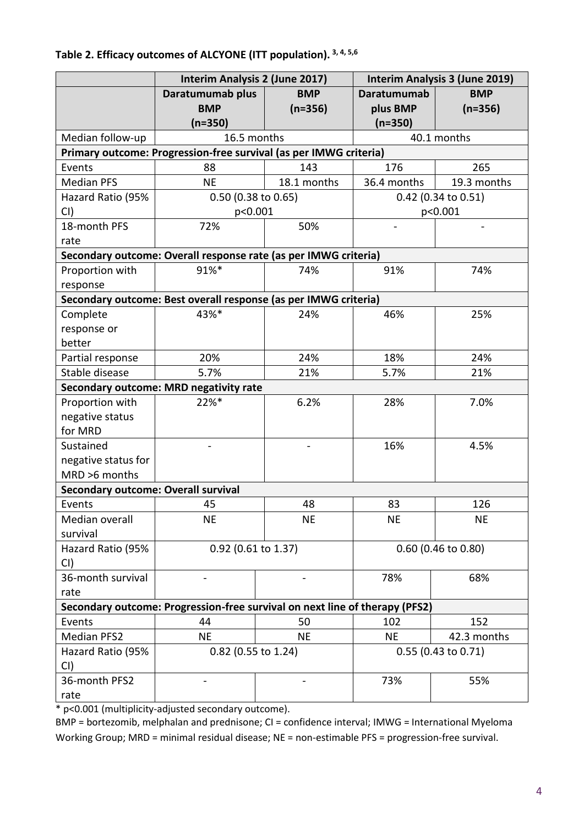|                                                                             | Interim Analysis 2 (June 2017)                                    |             | Interim Analysis 3 (June 2019) |                       |
|-----------------------------------------------------------------------------|-------------------------------------------------------------------|-------------|--------------------------------|-----------------------|
|                                                                             | Daratumumab plus                                                  | <b>BMP</b>  | <b>Daratumumab</b>             | <b>BMP</b>            |
|                                                                             | <b>BMP</b>                                                        | $(n=356)$   | plus BMP                       | $(n=356)$             |
|                                                                             | $(n=350)$                                                         |             | $(n=350)$                      |                       |
| Median follow-up                                                            | 16.5 months                                                       |             |                                | 40.1 months           |
|                                                                             | Primary outcome: Progression-free survival (as per IMWG criteria) |             |                                |                       |
| Events                                                                      | 88                                                                | 143         | 176                            | 265                   |
| <b>Median PFS</b>                                                           | <b>NE</b>                                                         | 18.1 months | 36.4 months                    | 19.3 months           |
| Hazard Ratio (95%                                                           | 0.50 (0.38 to 0.65)                                               |             | 0.42 (0.34 to 0.51)            |                       |
| CI)                                                                         | p<0.001                                                           |             |                                | p<0.001               |
| 18-month PFS                                                                | 72%                                                               | 50%         | $\overline{\phantom{0}}$       | -                     |
| rate                                                                        |                                                                   |             |                                |                       |
|                                                                             | Secondary outcome: Overall response rate (as per IMWG criteria)   |             |                                |                       |
| Proportion with                                                             | 91%*                                                              | 74%         | 91%                            | 74%                   |
| response                                                                    |                                                                   |             |                                |                       |
|                                                                             | Secondary outcome: Best overall response (as per IMWG criteria)   |             |                                |                       |
| Complete                                                                    | 43%*                                                              | 24%         | 46%                            | 25%                   |
| response or                                                                 |                                                                   |             |                                |                       |
| better                                                                      |                                                                   |             |                                |                       |
| Partial response                                                            | 20%                                                               | 24%         | 18%                            | 24%                   |
| Stable disease                                                              | 5.7%                                                              | 21%         | 5.7%                           | 21%                   |
|                                                                             | Secondary outcome: MRD negativity rate                            |             |                                |                       |
| Proportion with                                                             | 22%*                                                              | 6.2%        | 28%                            | 7.0%                  |
| negative status                                                             |                                                                   |             |                                |                       |
| for MRD                                                                     |                                                                   |             |                                |                       |
| Sustained                                                                   |                                                                   |             | 16%                            | 4.5%                  |
| negative status for                                                         |                                                                   |             |                                |                       |
| MRD >6 months                                                               |                                                                   |             |                                |                       |
| <b>Secondary outcome: Overall survival</b>                                  |                                                                   |             |                                |                       |
| Events                                                                      | 45                                                                | 48          | 83                             | 126                   |
| Median overall                                                              | <b>NE</b>                                                         | <b>NE</b>   | <b>NE</b>                      | <b>NE</b>             |
| survival                                                                    |                                                                   |             |                                |                       |
| Hazard Ratio (95%                                                           | 0.92 (0.61 to 1.37)                                               |             | 0.60 (0.46 to 0.80)            |                       |
| CI)                                                                         |                                                                   |             |                                |                       |
| 36-month survival                                                           |                                                                   |             | 78%                            | 68%                   |
| rate                                                                        |                                                                   |             |                                |                       |
| Secondary outcome: Progression-free survival on next line of therapy (PFS2) |                                                                   |             |                                |                       |
| Events                                                                      | 44                                                                | 50          | 102                            | 152                   |
| <b>Median PFS2</b>                                                          | <b>NE</b>                                                         | <b>NE</b>   | <b>NE</b>                      | 42.3 months           |
| Hazard Ratio (95%                                                           | 0.82 (0.55 to 1.24)                                               |             |                                | $0.55$ (0.43 to 0.71) |
| CI)                                                                         |                                                                   |             |                                |                       |
| 36-month PFS2                                                               |                                                                   |             | 73%                            | 55%                   |
| rate                                                                        |                                                                   |             |                                |                       |

### **Table 2. Efficacy outcomes of ALCYONE (ITT population). 3, 4, 5,6**

\* p<0.001 (multiplicity-adjusted secondary outcome).

BMP = bortezomib, melphalan and prednisone; CI = confidence interval; IMWG = International Myeloma Working Group; MRD = minimal residual disease; NE = non-estimable PFS = progression-free survival.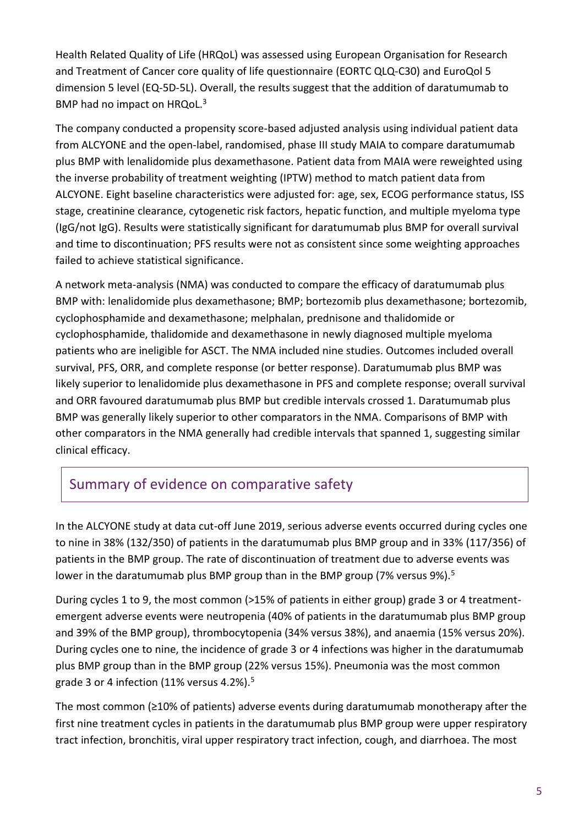Health Related Quality of Life (HRQoL) was assessed using European Organisation for Research and Treatment of Cancer core quality of life questionnaire (EORTC QLQ-C30) and EuroQol 5 dimension 5 level (EQ-5D-5L). Overall, the results suggest that the addition of daratumumab to BMP had no impact on HRQoL.<sup>3</sup>

The company conducted a propensity score-based adjusted analysis using individual patient data from ALCYONE and the open-label, randomised, phase III study MAIA to compare daratumumab plus BMP with lenalidomide plus dexamethasone. Patient data from MAIA were reweighted using the inverse probability of treatment weighting (IPTW) method to match patient data from ALCYONE. Eight baseline characteristics were adjusted for: age, sex, ECOG performance status, ISS stage, creatinine clearance, cytogenetic risk factors, hepatic function, and multiple myeloma type (IgG/not IgG). Results were statistically significant for daratumumab plus BMP for overall survival and time to discontinuation; PFS results were not as consistent since some weighting approaches failed to achieve statistical significance.

A network meta-analysis (NMA) was conducted to compare the efficacy of daratumumab plus BMP with: lenalidomide plus dexamethasone; BMP; bortezomib plus dexamethasone; bortezomib, cyclophosphamide and dexamethasone; melphalan, prednisone and thalidomide or cyclophosphamide, thalidomide and dexamethasone in newly diagnosed multiple myeloma patients who are ineligible for ASCT. The NMA included nine studies. Outcomes included overall survival, PFS, ORR, and complete response (or better response). Daratumumab plus BMP was likely superior to lenalidomide plus dexamethasone in PFS and complete response; overall survival and ORR favoured daratumumab plus BMP but credible intervals crossed 1. Daratumumab plus BMP was generally likely superior to other comparators in the NMA. Comparisons of BMP with other comparators in the NMA generally had credible intervals that spanned 1, suggesting similar clinical efficacy.

### Summary of evidence on comparative safety

In the ALCYONE study at data cut-off June 2019, serious adverse events occurred during cycles one to nine in 38% (132/350) of patients in the daratumumab plus BMP group and in 33% (117/356) of patients in the BMP group. The rate of discontinuation of treatment due to adverse events was lower in the daratumumab plus BMP group than in the BMP group (7% versus 9%).<sup>5</sup>

During cycles 1 to 9, the most common (>15% of patients in either group) grade 3 or 4 treatmentemergent adverse events were neutropenia (40% of patients in the daratumumab plus BMP group and 39% of the BMP group), thrombocytopenia (34% versus 38%), and anaemia (15% versus 20%). During cycles one to nine, the incidence of grade 3 or 4 infections was higher in the daratumumab plus BMP group than in the BMP group (22% versus 15%). Pneumonia was the most common grade 3 or 4 infection (11% versus 4.2%).<sup>5</sup>

The most common (≥10% of patients) adverse events during daratumumab monotherapy after the first nine treatment cycles in patients in the daratumumab plus BMP group were upper respiratory tract infection, bronchitis, viral upper respiratory tract infection, cough, and diarrhoea. The most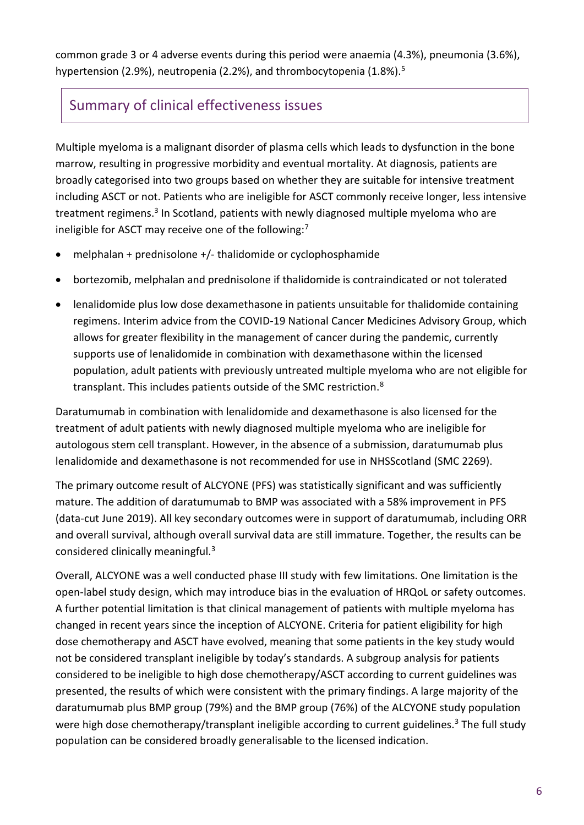common grade 3 or 4 adverse events during this period were anaemia (4.3%), pneumonia (3.6%), hypertension (2.9%), neutropenia (2.2%), and thrombocytopenia (1.8%).<sup>5</sup>

### Summary of clinical effectiveness issues

Multiple myeloma is a malignant disorder of plasma cells which leads to dysfunction in the bone marrow, resulting in progressive morbidity and eventual mortality. At diagnosis, patients are broadly categorised into two groups based on whether they are suitable for intensive treatment including ASCT or not. Patients who are ineligible for ASCT commonly receive longer, less intensive treatment regimens.<sup>3</sup> In Scotland, patients with newly diagnosed multiple myeloma who are ineligible for ASCT may receive one of the following:<sup>7</sup>

- $\bullet$  melphalan + prednisolone +/- thalidomide or cyclophosphamide
- bortezomib, melphalan and prednisolone if thalidomide is contraindicated or not tolerated
- lenalidomide plus low dose dexamethasone in patients unsuitable for thalidomide containing regimens. Interim advice from the COVID-19 National Cancer Medicines Advisory Group, which allows for greater flexibility in the management of cancer during the pandemic, currently supports use of lenalidomide in combination with dexamethasone within the licensed population, adult patients with previously untreated multiple myeloma who are not eligible for transplant. This includes patients outside of the SMC restriction.<sup>8</sup>

Daratumumab in combination with lenalidomide and dexamethasone is also licensed for the treatment of adult patients with newly diagnosed multiple myeloma who are ineligible for autologous stem cell transplant. However, in the absence of a submission, daratumumab plus lenalidomide and dexamethasone is not recommended for use in NHSScotland (SMC 2269).

The primary outcome result of ALCYONE (PFS) was statistically significant and was sufficiently mature. The addition of daratumumab to BMP was associated with a 58% improvement in PFS (data-cut June 2019). All key secondary outcomes were in support of daratumumab, including ORR and overall survival, although overall survival data are still immature. Together, the results can be considered clinically meaningful.<sup>3</sup>

Overall, ALCYONE was a well conducted phase III study with few limitations. One limitation is the open-label study design, which may introduce bias in the evaluation of HRQoL or safety outcomes. A further potential limitation is that clinical management of patients with multiple myeloma has changed in recent years since the inception of ALCYONE. Criteria for patient eligibility for high dose chemotherapy and ASCT have evolved, meaning that some patients in the key study would not be considered transplant ineligible by today's standards. A subgroup analysis for patients considered to be ineligible to high dose chemotherapy/ASCT according to current guidelines was presented, the results of which were consistent with the primary findings. A large majority of the daratumumab plus BMP group (79%) and the BMP group (76%) of the ALCYONE study population were high dose chemotherapy/transplant ineligible according to current guidelines.<sup>3</sup> The full study population can be considered broadly generalisable to the licensed indication.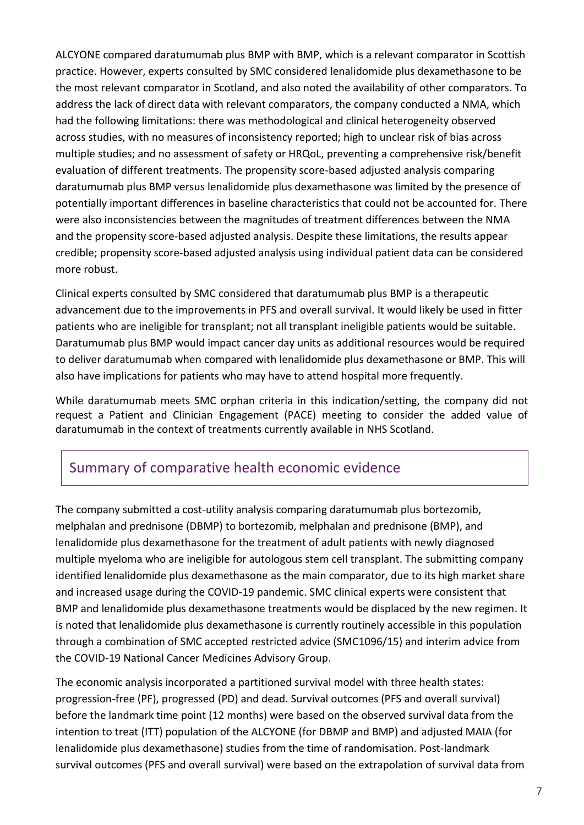ALCYONE compared daratumumab plus BMP with BMP, which is a relevant comparator in Scottish practice. However, experts consulted by SMC considered lenalidomide plus dexamethasone to be the most relevant comparator in Scotland, and also noted the availability of other comparators. To address the lack of direct data with relevant comparators, the company conducted a NMA, which had the following limitations: there was methodological and clinical heterogeneity observed across studies, with no measures of inconsistency reported; high to unclear risk of bias across multiple studies; and no assessment of safety or HRQoL, preventing a comprehensive risk/benefit evaluation of different treatments. The propensity score-based adjusted analysis comparing daratumumab plus BMP versus lenalidomide plus dexamethasone was limited by the presence of potentially important differences in baseline characteristics that could not be accounted for. There were also inconsistencies between the magnitudes of treatment differences between the NMA and the propensity score-based adjusted analysis. Despite these limitations, the results appear credible; propensity score-based adjusted analysis using individual patient data can be considered more robust.

Clinical experts consulted by SMC considered that daratumumab plus BMP is a therapeutic advancement due to the improvements in PFS and overall survival. It would likely be used in fitter patients who are ineligible for transplant; not all transplant ineligible patients would be suitable. Daratumumab plus BMP would impact cancer day units as additional resources would be required to deliver daratumumab when compared with lenalidomide plus dexamethasone or BMP. This will also have implications for patients who may have to attend hospital more frequently.

While daratumumab meets SMC orphan criteria in this indication/setting, the company did not request a Patient and Clinician Engagement (PACE) meeting to consider the added value of daratumumab in the context of treatments currently available in NHS Scotland.

### Summary of comparative health economic evidence

The company submitted a cost-utility analysis comparing daratumumab plus bortezomib, melphalan and prednisone (DBMP) to bortezomib, melphalan and prednisone (BMP), and lenalidomide plus dexamethasone for the treatment of adult patients with newly diagnosed multiple myeloma who are ineligible for autologous stem cell transplant. The submitting company identified lenalidomide plus dexamethasone as the main comparator, due to its high market share and increased usage during the COVID-19 pandemic. SMC clinical experts were consistent that BMP and lenalidomide plus dexamethasone treatments would be displaced by the new regimen. It is noted that lenalidomide plus dexamethasone is currently routinely accessible in this population through a combination of SMC accepted restricted advice (SMC1096/15) and interim advice from the COVID-19 National Cancer Medicines Advisory Group.

The economic analysis incorporated a partitioned survival model with three health states: progression-free (PF), progressed (PD) and dead. Survival outcomes (PFS and overall survival) before the landmark time point (12 months) were based on the observed survival data from the intention to treat (ITT) population of the ALCYONE (for DBMP and BMP) and adjusted MAIA (for lenalidomide plus dexamethasone) studies from the time of randomisation. Post-landmark survival outcomes (PFS and overall survival) were based on the extrapolation of survival data from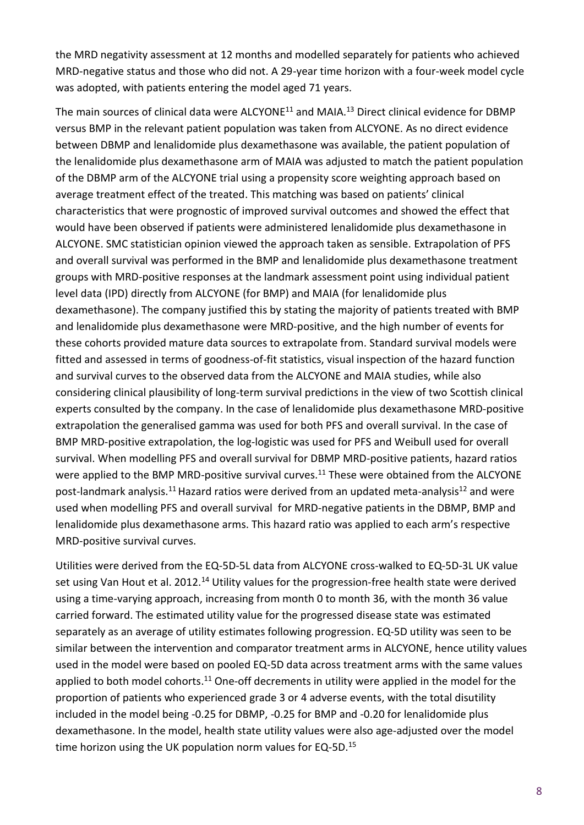the MRD negativity assessment at 12 months and modelled separately for patients who achieved MRD-negative status and those who did not. A 29-year time horizon with a four-week model cycle was adopted, with patients entering the model aged 71 years.

The main sources of clinical data were ALCYONE<sup>11</sup> and MAIA.<sup>13</sup> Direct clinical evidence for DBMP versus BMP in the relevant patient population was taken from ALCYONE. As no direct evidence between DBMP and lenalidomide plus dexamethasone was available, the patient population of the lenalidomide plus dexamethasone arm of MAIA was adjusted to match the patient population of the DBMP arm of the ALCYONE trial using a propensity score weighting approach based on average treatment effect of the treated. This matching was based on patients' clinical characteristics that were prognostic of improved survival outcomes and showed the effect that would have been observed if patients were administered lenalidomide plus dexamethasone in ALCYONE. SMC statistician opinion viewed the approach taken as sensible. Extrapolation of PFS and overall survival was performed in the BMP and lenalidomide plus dexamethasone treatment groups with MRD-positive responses at the landmark assessment point using individual patient level data (IPD) directly from ALCYONE (for BMP) and MAIA (for lenalidomide plus dexamethasone). The company justified this by stating the majority of patients treated with BMP and lenalidomide plus dexamethasone were MRD-positive, and the high number of events for these cohorts provided mature data sources to extrapolate from. Standard survival models were fitted and assessed in terms of goodness-of-fit statistics, visual inspection of the hazard function and survival curves to the observed data from the ALCYONE and MAIA studies, while also considering clinical plausibility of long-term survival predictions in the view of two Scottish clinical experts consulted by the company. In the case of lenalidomide plus dexamethasone MRD-positive extrapolation the generalised gamma was used for both PFS and overall survival. In the case of BMP MRD-positive extrapolation, the log-logistic was used for PFS and Weibull used for overall survival. When modelling PFS and overall survival for DBMP MRD-positive patients, hazard ratios were applied to the BMP MRD-positive survival curves.<sup>11</sup> These were obtained from the ALCYONE post-landmark analysis.<sup>11</sup> Hazard ratios were derived from an updated meta-analysis<sup>12</sup> and were used when modelling PFS and overall survival for MRD-negative patients in the DBMP, BMP and lenalidomide plus dexamethasone arms. This hazard ratio was applied to each arm's respective MRD-positive survival curves.

Utilities were derived from the EQ-5D-5L data from ALCYONE cross-walked to EQ-5D-3L UK value set using Van Hout et al. 2012.<sup>14</sup> Utility values for the progression-free health state were derived using a time-varying approach, increasing from month 0 to month 36, with the month 36 value carried forward. The estimated utility value for the progressed disease state was estimated separately as an average of utility estimates following progression. EQ-5D utility was seen to be similar between the intervention and comparator treatment arms in ALCYONE, hence utility values used in the model were based on pooled EQ-5D data across treatment arms with the same values applied to both model cohorts.<sup>11</sup> One-off decrements in utility were applied in the model for the proportion of patients who experienced grade 3 or 4 adverse events, with the total disutility included in the model being -0.25 for DBMP, -0.25 for BMP and -0.20 for lenalidomide plus dexamethasone. In the model, health state utility values were also age-adjusted over the model time horizon using the UK population norm values for EQ-5D.<sup>15</sup>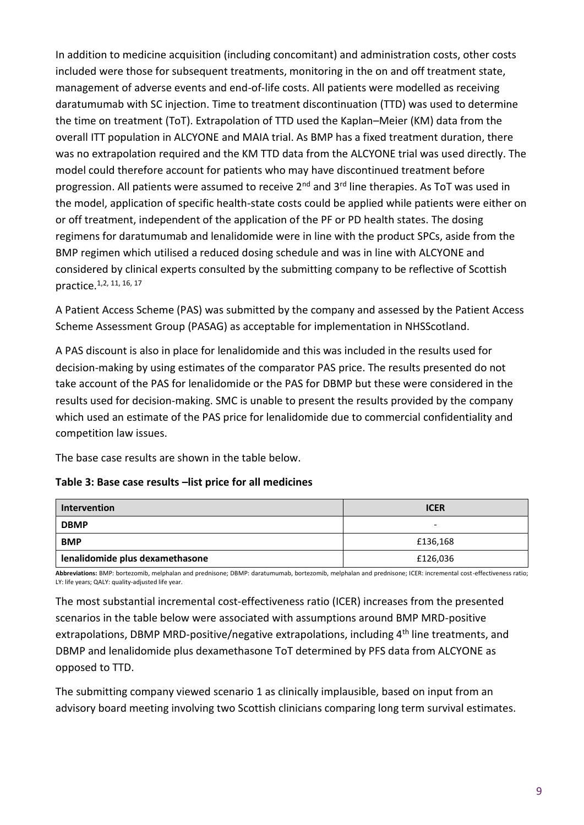In addition to medicine acquisition (including concomitant) and administration costs, other costs included were those for subsequent treatments, monitoring in the on and off treatment state, management of adverse events and end-of-life costs. All patients were modelled as receiving daratumumab with SC injection. Time to treatment discontinuation (TTD) was used to determine the time on treatment (ToT). Extrapolation of TTD used the Kaplan–Meier (KM) data from the overall ITT population in ALCYONE and MAIA trial. As BMP has a fixed treatment duration, there was no extrapolation required and the KM TTD data from the ALCYONE trial was used directly. The model could therefore account for patients who may have discontinued treatment before progression. All patients were assumed to receive 2<sup>nd</sup> and 3<sup>rd</sup> line therapies. As ToT was used in the model, application of specific health-state costs could be applied while patients were either on or off treatment, independent of the application of the PF or PD health states. The dosing regimens for daratumumab and lenalidomide were in line with the product SPCs, aside from the BMP regimen which utilised a reduced dosing schedule and was in line with ALCYONE and considered by clinical experts consulted by the submitting company to be reflective of Scottish practice.1,2, 11, 16, 17

A Patient Access Scheme (PAS) was submitted by the company and assessed by the Patient Access Scheme Assessment Group (PASAG) as acceptable for implementation in NHSScotland.

A PAS discount is also in place for lenalidomide and this was included in the results used for decision-making by using estimates of the comparator PAS price. The results presented do not take account of the PAS for lenalidomide or the PAS for DBMP but these were considered in the results used for decision-making. SMC is unable to present the results provided by the company which used an estimate of the PAS price for lenalidomide due to commercial confidentiality and competition law issues.

The base case results are shown in the table below.

#### **Table 3: Base case results –list price for all medicines**

| Intervention                    | <b>ICER</b> |  |
|---------------------------------|-------------|--|
| <b>DBMP</b>                     | -           |  |
| <b>BMP</b>                      | £136,168    |  |
| lenalidomide plus dexamethasone | £126,036    |  |

**Abbreviations:** BMP: bortezomib, melphalan and prednisone; DBMP: daratumumab, bortezomib, melphalan and prednisone; ICER: incremental cost-effectiveness ratio; LY: life years; QALY: quality-adjusted life year.

The most substantial incremental cost-effectiveness ratio (ICER) increases from the presented scenarios in the table below were associated with assumptions around BMP MRD-positive extrapolations, DBMP MRD-positive/negative extrapolations, including 4<sup>th</sup> line treatments, and DBMP and lenalidomide plus dexamethasone ToT determined by PFS data from ALCYONE as opposed to TTD.

The submitting company viewed scenario 1 as clinically implausible, based on input from an advisory board meeting involving two Scottish clinicians comparing long term survival estimates.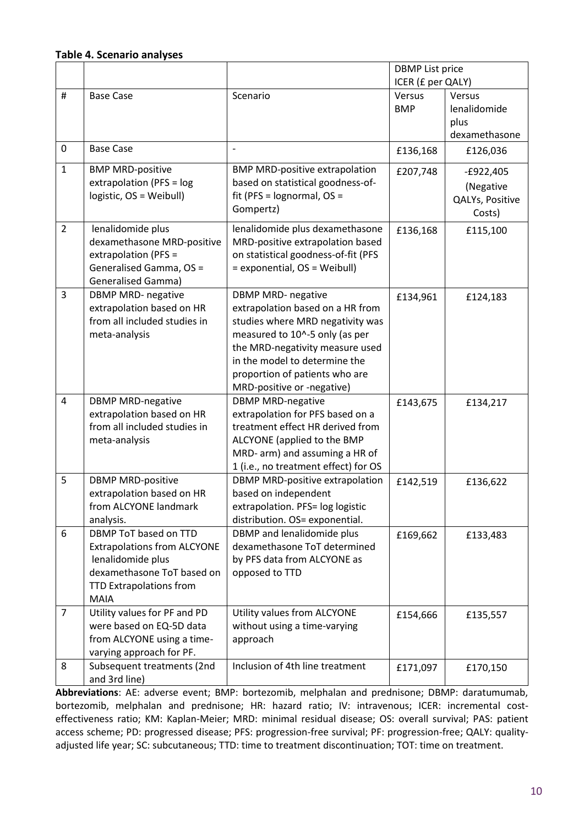#### **Table 4. Scenario analyses**

|                |                                                                                                                                                          |                                                                                                                                                                                                                                                                         | <b>DBMP</b> List price |                                                       |
|----------------|----------------------------------------------------------------------------------------------------------------------------------------------------------|-------------------------------------------------------------------------------------------------------------------------------------------------------------------------------------------------------------------------------------------------------------------------|------------------------|-------------------------------------------------------|
|                |                                                                                                                                                          |                                                                                                                                                                                                                                                                         | ICER (£ per QALY)      |                                                       |
| #              | <b>Base Case</b>                                                                                                                                         | Scenario                                                                                                                                                                                                                                                                | Versus<br><b>BMP</b>   | Versus<br>lenalidomide                                |
|                |                                                                                                                                                          |                                                                                                                                                                                                                                                                         |                        | plus<br>dexamethasone                                 |
| 0              | <b>Base Case</b>                                                                                                                                         |                                                                                                                                                                                                                                                                         | £136,168               | £126,036                                              |
| $\mathbf{1}$   | <b>BMP MRD-positive</b><br>extrapolation (PFS = log<br>logistic, OS = Weibull)                                                                           | <b>BMP MRD-positive extrapolation</b><br>based on statistical goodness-of-<br>fit (PFS = lognormal, OS =<br>Gompertz)                                                                                                                                                   | £207,748               | $-E922,405$<br>(Negative<br>QALYs, Positive<br>Costs) |
| $\overline{2}$ | lenalidomide plus<br>dexamethasone MRD-positive<br>extrapolation (PFS =<br>Generalised Gamma, OS =<br><b>Generalised Gamma)</b>                          | lenalidomide plus dexamethasone<br>MRD-positive extrapolation based<br>on statistical goodness-of-fit (PFS<br>= exponential, OS = Weibull)                                                                                                                              | £136,168               | £115,100                                              |
| 3              | <b>DBMP MRD- negative</b><br>extrapolation based on HR<br>from all included studies in<br>meta-analysis                                                  | <b>DBMP MRD- negative</b><br>extrapolation based on a HR from<br>studies where MRD negativity was<br>measured to 10^-5 only (as per<br>the MRD-negativity measure used<br>in the model to determine the<br>proportion of patients who are<br>MRD-positive or -negative) | £134,961               | £124,183                                              |
| 4              | <b>DBMP MRD-negative</b><br>extrapolation based on HR<br>from all included studies in<br>meta-analysis                                                   | <b>DBMP MRD-negative</b><br>extrapolation for PFS based on a<br>treatment effect HR derived from<br>ALCYONE (applied to the BMP<br>MRD- arm) and assuming a HR of<br>1 (i.e., no treatment effect) for OS                                                               | £143,675               | £134,217                                              |
| 5              | <b>DBMP MRD-positive</b><br>extrapolation based on HR<br>from ALCYONE landmark<br>analysis.                                                              | DBMP MRD-positive extrapolation<br>based on independent<br>extrapolation. PFS= log logistic<br>distribution. OS= exponential.                                                                                                                                           | £142,519               | £136,622                                              |
| 6              | DBMP ToT based on TTD<br><b>Extrapolations from ALCYONE</b><br>lenalidomide plus<br>dexamethasone ToT based on<br>TTD Extrapolations from<br><b>MAIA</b> | DBMP and lenalidomide plus<br>dexamethasone ToT determined<br>by PFS data from ALCYONE as<br>opposed to TTD                                                                                                                                                             | £169,662               | £133,483                                              |
| $\overline{7}$ | Utility values for PF and PD<br>were based on EQ-5D data<br>from ALCYONE using a time-<br>varying approach for PF.                                       | Utility values from ALCYONE<br>without using a time-varying<br>approach                                                                                                                                                                                                 | £154,666               | £135,557                                              |
| 8              | Subsequent treatments (2nd<br>and 3rd line)                                                                                                              | Inclusion of 4th line treatment                                                                                                                                                                                                                                         | £171,097               | £170,150                                              |

**Abbreviations**: AE: adverse event; BMP: bortezomib, melphalan and prednisone; DBMP: daratumumab, bortezomib, melphalan and prednisone; HR: hazard ratio; IV: intravenous; ICER: incremental costeffectiveness ratio; KM: Kaplan-Meier; MRD: minimal residual disease; OS: overall survival; PAS: patient access scheme; PD: progressed disease; PFS: progression-free survival; PF: progression-free; QALY: qualityadjusted life year; SC: subcutaneous; TTD: time to treatment discontinuation; TOT: time on treatment.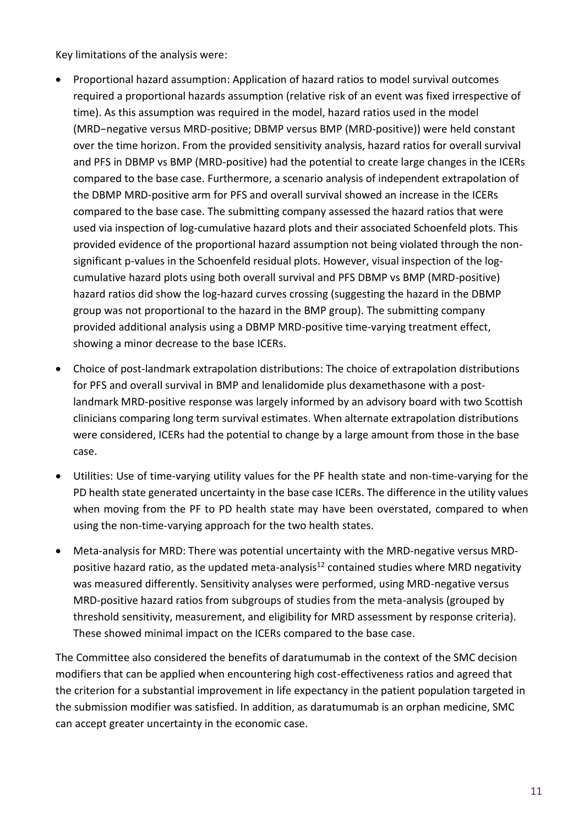Key limitations of the analysis were:

- Proportional hazard assumption: Application of hazard ratios to model survival outcomes required a proportional hazards assumption (relative risk of an event was fixed irrespective of time). As this assumption was required in the model, hazard ratios used in the model (MRD−negative versus MRD-positive; DBMP versus BMP (MRD-positive)) were held constant over the time horizon. From the provided sensitivity analysis, hazard ratios for overall survival and PFS in DBMP vs BMP (MRD-positive) had the potential to create large changes in the ICERs compared to the base case. Furthermore, a scenario analysis of independent extrapolation of the DBMP MRD-positive arm for PFS and overall survival showed an increase in the ICERs compared to the base case. The submitting company assessed the hazard ratios that were used via inspection of log-cumulative hazard plots and their associated Schoenfeld plots. This provided evidence of the proportional hazard assumption not being violated through the nonsignificant p-values in the Schoenfeld residual plots. However, visual inspection of the logcumulative hazard plots using both overall survival and PFS DBMP vs BMP (MRD-positive) hazard ratios did show the log-hazard curves crossing (suggesting the hazard in the DBMP group was not proportional to the hazard in the BMP group). The submitting company provided additional analysis using a DBMP MRD-positive time-varying treatment effect, showing a minor decrease to the base ICERs.
- Choice of post-landmark extrapolation distributions: The choice of extrapolation distributions for PFS and overall survival in BMP and lenalidomide plus dexamethasone with a postlandmark MRD-positive response was largely informed by an advisory board with two Scottish clinicians comparing long term survival estimates. When alternate extrapolation distributions were considered, ICERs had the potential to change by a large amount from those in the base case.
- Utilities: Use of time-varying utility values for the PF health state and non-time-varying for the PD health state generated uncertainty in the base case ICERs. The difference in the utility values when moving from the PF to PD health state may have been overstated, compared to when using the non-time-varying approach for the two health states.
- Meta-analysis for MRD: There was potential uncertainty with the MRD-negative versus MRDpositive hazard ratio, as the updated meta-analysis<sup>12</sup> contained studies where MRD negativity was measured differently. Sensitivity analyses were performed, using MRD-negative versus MRD-positive hazard ratios from subgroups of studies from the meta-analysis (grouped by threshold sensitivity, measurement, and eligibility for MRD assessment by response criteria). These showed minimal impact on the ICERs compared to the base case.

The Committee also considered the benefits of daratumumab in the context of the SMC decision modifiers that can be applied when encountering high cost-effectiveness ratios and agreed that the criterion for a substantial improvement in life expectancy in the patient population targeted in the submission modifier was satisfied. In addition, as daratumumab is an orphan medicine, SMC can accept greater uncertainty in the economic case.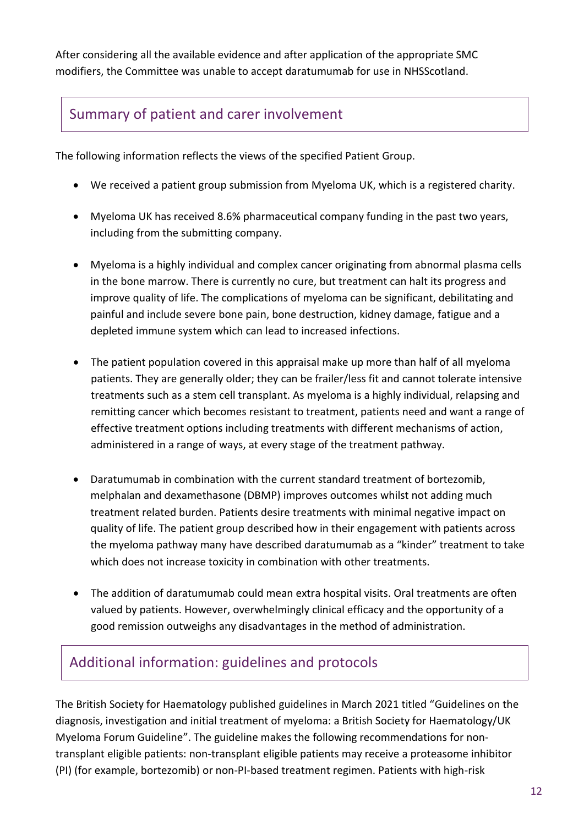After considering all the available evidence and after application of the appropriate SMC modifiers, the Committee was unable to accept daratumumab for use in NHSScotland.

# Summary of patient and carer involvement

The following information reflects the views of the specified Patient Group.

- We received a patient group submission from Myeloma UK, which is a registered charity.
- Myeloma UK has received 8.6% pharmaceutical company funding in the past two years, including from the submitting company.
- Myeloma is a highly individual and complex cancer originating from abnormal plasma cells in the bone marrow. There is currently no cure, but treatment can halt its progress and improve quality of life. The complications of myeloma can be significant, debilitating and painful and include severe bone pain, bone destruction, kidney damage, fatigue and a depleted immune system which can lead to increased infections.
- The patient population covered in this appraisal make up more than half of all myeloma patients. They are generally older; they can be frailer/less fit and cannot tolerate intensive treatments such as a stem cell transplant. As myeloma is a highly individual, relapsing and remitting cancer which becomes resistant to treatment, patients need and want a range of effective treatment options including treatments with different mechanisms of action, administered in a range of ways, at every stage of the treatment pathway.
- Daratumumab in combination with the current standard treatment of bortezomib, melphalan and dexamethasone (DBMP) improves outcomes whilst not adding much treatment related burden. Patients desire treatments with minimal negative impact on quality of life. The patient group described how in their engagement with patients across the myeloma pathway many have described daratumumab as a "kinder" treatment to take which does not increase toxicity in combination with other treatments.
- The addition of daratumumab could mean extra hospital visits. Oral treatments are often valued by patients. However, overwhelmingly clinical efficacy and the opportunity of a good remission outweighs any disadvantages in the method of administration.

### Additional information: guidelines and protocols

The British Society for Haematology published guidelines in March 2021 titled "Guidelines on the diagnosis, investigation and initial treatment of myeloma: a British Society for Haematology/UK Myeloma Forum Guideline". The guideline makes the following recommendations for nontransplant eligible patients: non-transplant eligible patients may receive a proteasome inhibitor (PI) (for example, bortezomib) or non-PI-based treatment regimen. Patients with high-risk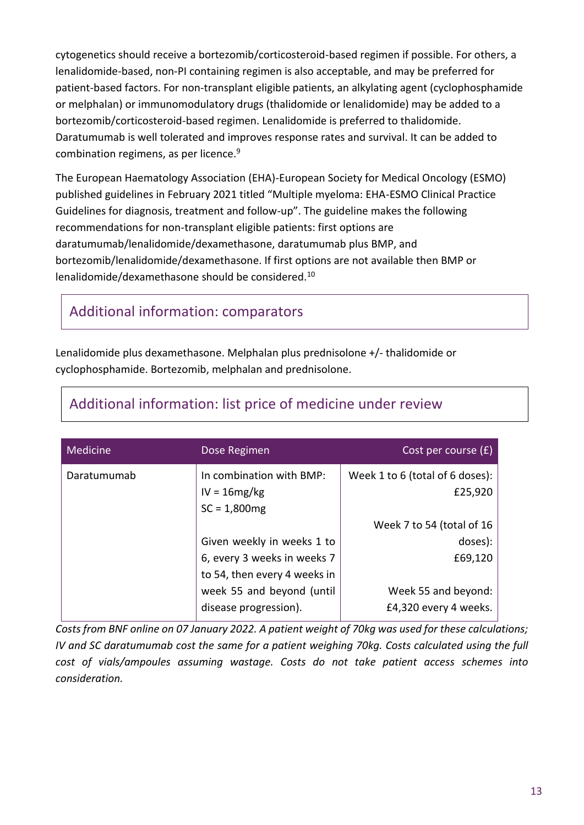cytogenetics should receive a bortezomib/corticosteroid-based regimen if possible. For others, a lenalidomide-based, non-PI containing regimen is also acceptable, and may be preferred for patient-based factors. For non-transplant eligible patients, an alkylating agent (cyclophosphamide or melphalan) or immunomodulatory drugs (thalidomide or lenalidomide) may be added to a bortezomib/corticosteroid-based regimen. Lenalidomide is preferred to thalidomide. Daratumumab is well tolerated and improves response rates and survival. It can be added to combination regimens, as per licence.<sup>9</sup>

The European Haematology Association (EHA)-European Society for Medical Oncology (ESMO) published guidelines in February 2021 titled "Multiple myeloma: EHA-ESMO Clinical Practice Guidelines for diagnosis, treatment and follow-up". The guideline makes the following recommendations for non-transplant eligible patients: first options are daratumumab/lenalidomide/dexamethasone, daratumumab plus BMP, and bortezomib/lenalidomide/dexamethasone. If first options are not available then BMP or lenalidomide/dexamethasone should be considered.<sup>10</sup>

### Additional information: comparators

Lenalidomide plus dexamethasone. Melphalan plus prednisolone +/- thalidomide or cyclophosphamide. Bortezomib, melphalan and prednisolone.

| Medicine    | Dose Regimen                                                 | Cost per course $(f)$                      |
|-------------|--------------------------------------------------------------|--------------------------------------------|
| Daratumumab | In combination with BMP:<br>$IV = 16mg/kg$<br>$SC = 1,800mg$ | Week 1 to 6 (total of 6 doses):<br>£25,920 |
|             |                                                              | Week 7 to 54 (total of 16                  |
|             | Given weekly in weeks 1 to                                   | doses):                                    |
|             | 6, every 3 weeks in weeks 7                                  | £69,120                                    |
|             | to 54, then every 4 weeks in                                 |                                            |
|             | week 55 and beyond (until                                    | Week 55 and beyond:                        |
|             | disease progression).                                        | £4,320 every 4 weeks.                      |

### Additional information: list price of medicine under review

*Costs from BNF online on 07 January 2022. A patient weight of 70kg was used for these calculations; IV and SC daratumumab cost the same for a patient weighing 70kg. Costs calculated using the full cost of vials/ampoules assuming wastage. Costs do not take patient access schemes into consideration.*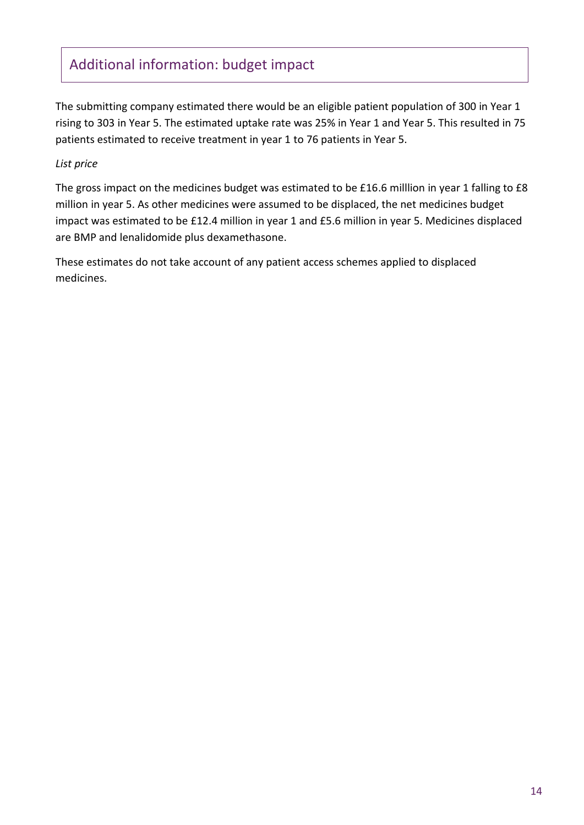# Additional information: budget impact

The submitting company estimated there would be an eligible patient population of 300 in Year 1 rising to 303 in Year 5. The estimated uptake rate was 25% in Year 1 and Year 5. This resulted in 75 patients estimated to receive treatment in year 1 to 76 patients in Year 5.

#### *List price*

The gross impact on the medicines budget was estimated to be £16.6 milllion in year 1 falling to £8 million in year 5. As other medicines were assumed to be displaced, the net medicines budget impact was estimated to be £12.4 million in year 1 and £5.6 million in year 5. Medicines displaced are BMP and lenalidomide plus dexamethasone.

These estimates do not take account of any patient access schemes applied to displaced medicines.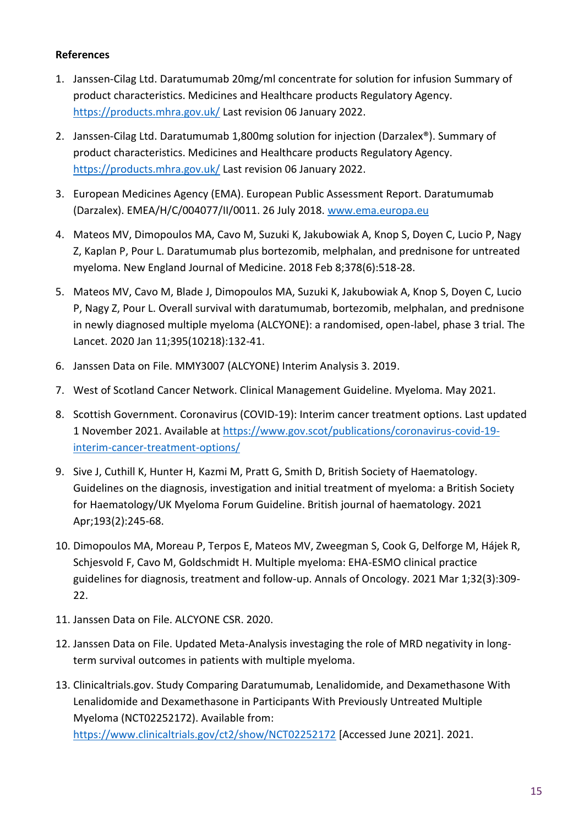#### **References**

- 1. Janssen-Cilag Ltd. Daratumumab 20mg/ml concentrate for solution for infusion Summary of product characteristics. Medicines and Healthcare products Regulatory Agency. <https://products.mhra.gov.uk/> Last revision 06 January 2022.
- 2. Janssen-Cilag Ltd. Daratumumab 1,800mg solution for injection (Darzalex®). Summary of product characteristics. Medicines and Healthcare products Regulatory Agency. <https://products.mhra.gov.uk/> Last revision 06 January 2022.
- 3. European Medicines Agency (EMA). European Public Assessment Report. Daratumumab (Darzalex). EMEA/H/C/004077/II/0011. 26 July 2018. [www.ema.europa.eu](http://www.ema.europa.eu/)
- 4. Mateos MV, Dimopoulos MA, Cavo M, Suzuki K, Jakubowiak A, Knop S, Doyen C, Lucio P, Nagy Z, Kaplan P, Pour L. Daratumumab plus bortezomib, melphalan, and prednisone for untreated myeloma. New England Journal of Medicine. 2018 Feb 8;378(6):518-28.
- 5. Mateos MV, Cavo M, Blade J, Dimopoulos MA, Suzuki K, Jakubowiak A, Knop S, Doyen C, Lucio P, Nagy Z, Pour L. Overall survival with daratumumab, bortezomib, melphalan, and prednisone in newly diagnosed multiple myeloma (ALCYONE): a randomised, open-label, phase 3 trial. The Lancet. 2020 Jan 11;395(10218):132-41.
- 6. Janssen Data on File. MMY3007 (ALCYONE) Interim Analysis 3. 2019.
- 7. West of Scotland Cancer Network. Clinical Management Guideline. Myeloma. May 2021.
- 8. Scottish Government. Coronavirus (COVID-19): Interim cancer treatment options. Last updated 1 November 2021. Available at [https://www.gov.scot/publications/coronavirus-covid-19](https://www.gov.scot/publications/coronavirus-covid-19-interim-cancer-treatment-options/) [interim-cancer-treatment-options/](https://www.gov.scot/publications/coronavirus-covid-19-interim-cancer-treatment-options/)
- 9. Sive J, Cuthill K, Hunter H, Kazmi M, Pratt G, Smith D, British Society of Haematology. Guidelines on the diagnosis, investigation and initial treatment of myeloma: a British Society for Haematology/UK Myeloma Forum Guideline. British journal of haematology. 2021 Apr;193(2):245-68.
- 10. Dimopoulos MA, Moreau P, Terpos E, Mateos MV, Zweegman S, Cook G, Delforge M, Hájek R, Schjesvold F, Cavo M, Goldschmidt H. Multiple myeloma: EHA-ESMO clinical practice guidelines for diagnosis, treatment and follow-up. Annals of Oncology. 2021 Mar 1;32(3):309- 22.
- 11. Janssen Data on File. ALCYONE CSR. 2020.
- 12. Janssen Data on File. Updated Meta-Analysis investaging the role of MRD negativity in longterm survival outcomes in patients with multiple myeloma.
- 13. Clinicaltrials.gov. Study Comparing Daratumumab, Lenalidomide, and Dexamethasone With Lenalidomide and Dexamethasone in Participants With Previously Untreated Multiple Myeloma (NCT02252172). Available from: <https://www.clinicaltrials.gov/ct2/show/NCT02252172> [Accessed June 2021]. 2021.